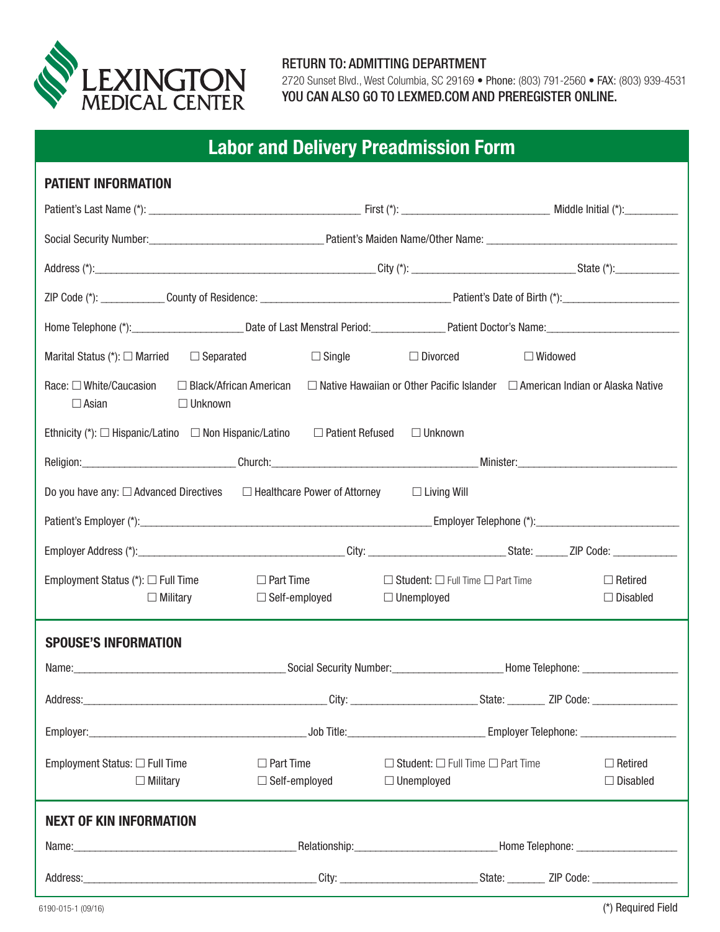

## RETURN TO: ADMITTING DEPARTMENT

2720 Sunset Blvd., West Columbia, SC 29169 • Phone: (803) 791-2560 • FAX: (803) 939-4531 YOU CAN ALSO GO TO LEXMED.COM AND PREREGISTER ONLINE.

## **Labor and Delivery Preadmission Form**

| <b>PATIENT INFORMATION</b>                                                                                                                                                             |                                                                                                                                                                                                                                |                                                                                                                                                                                                                               |                |                                   |  |  |
|----------------------------------------------------------------------------------------------------------------------------------------------------------------------------------------|--------------------------------------------------------------------------------------------------------------------------------------------------------------------------------------------------------------------------------|-------------------------------------------------------------------------------------------------------------------------------------------------------------------------------------------------------------------------------|----------------|-----------------------------------|--|--|
|                                                                                                                                                                                        |                                                                                                                                                                                                                                |                                                                                                                                                                                                                               |                |                                   |  |  |
|                                                                                                                                                                                        |                                                                                                                                                                                                                                |                                                                                                                                                                                                                               |                |                                   |  |  |
|                                                                                                                                                                                        |                                                                                                                                                                                                                                | Address (*): State (*): State (*): State (*): State (*): State (*): State (*): State (*): State (*): State (*): State (*): State (*): State (*): State (*): State (*): State (*): State (*): State (*): State (*): State (*): |                |                                   |  |  |
|                                                                                                                                                                                        |                                                                                                                                                                                                                                |                                                                                                                                                                                                                               |                |                                   |  |  |
|                                                                                                                                                                                        |                                                                                                                                                                                                                                |                                                                                                                                                                                                                               |                |                                   |  |  |
| Marital Status (*): $\Box$ Married $\Box$ Separated                                                                                                                                    |                                                                                                                                                                                                                                | $\Box$ Single $\Box$ Divorced                                                                                                                                                                                                 | $\Box$ Widowed |                                   |  |  |
| Race: □ White/Caucasion<br>$\Box$ Black/African American<br>$\Box$ Native Hawaiian or Other Pacific Islander $\Box$ American Indian or Alaska Native<br>$\Box$ Asian<br>$\Box$ Unknown |                                                                                                                                                                                                                                |                                                                                                                                                                                                                               |                |                                   |  |  |
| Ethnicity (*): $\Box$ Hispanic/Latino $\Box$ Non Hispanic/Latino $\Box$ Patient Refused                                                                                                |                                                                                                                                                                                                                                | $\Box$ Unknown                                                                                                                                                                                                                |                |                                   |  |  |
|                                                                                                                                                                                        | Religion: Minister: Manual Account of the Church: Church: Church: Church: Minister: Minister: Minister: Minister: Minister: Minister: Minister: Minister: Minister: Minister: Minister: Minister: Minister: Minister: Minister |                                                                                                                                                                                                                               |                |                                   |  |  |
| Do you have any: □ Advanced Directives □ Healthcare Power of Attorney                                                                                                                  |                                                                                                                                                                                                                                | $\Box$ Living Will                                                                                                                                                                                                            |                |                                   |  |  |
|                                                                                                                                                                                        |                                                                                                                                                                                                                                |                                                                                                                                                                                                                               |                |                                   |  |  |
|                                                                                                                                                                                        |                                                                                                                                                                                                                                |                                                                                                                                                                                                                               |                |                                   |  |  |
| Employment Status $(*)$ : $\square$ Full Time<br>$\Box$ Military                                                                                                                       | $\Box$ Part Time<br>$\Box$ Self-employed                                                                                                                                                                                       | $\Box$ Student: $\Box$ Full Time $\Box$ Part Time<br>$\Box$ Unemployed                                                                                                                                                        |                | $\Box$ Retired<br>$\Box$ Disabled |  |  |
| <b>SPOUSE'S INFORMATION</b>                                                                                                                                                            |                                                                                                                                                                                                                                |                                                                                                                                                                                                                               |                |                                   |  |  |
|                                                                                                                                                                                        | Name: Mame: Mame: Mamber: Mamber: Mumber: Mumber: Mumber: Mame Telephone: Mame Telephone: Mamber: Mamber: Mamber: Mamber: Mamber: Mamber: Mamber: Mamber: Mamber: Mamber: Mamber: Mamber: Mamber: Mamber: Mamber: Mamber: Mamb |                                                                                                                                                                                                                               |                |                                   |  |  |
| Address:                                                                                                                                                                               |                                                                                                                                                                                                                                |                                                                                                                                                                                                                               |                |                                   |  |  |
|                                                                                                                                                                                        | Employer: Construction Construction Complete Construction Complete Construction Comployer Telephone:                                                                                                                           |                                                                                                                                                                                                                               |                |                                   |  |  |
| Employment Status: $\Box$ Full Time<br>$\Box$ Military                                                                                                                                 | $\Box$ Part Time<br>$\Box$ Self-employed                                                                                                                                                                                       | $\Box$ Student: $\Box$ Full Time $\Box$ Part Time<br>$\Box$ Unemployed                                                                                                                                                        |                | $\Box$ Retired<br>$\Box$ Disabled |  |  |
| <b>NEXT OF KIN INFORMATION</b>                                                                                                                                                         |                                                                                                                                                                                                                                |                                                                                                                                                                                                                               |                |                                   |  |  |
|                                                                                                                                                                                        | _Relationship:_________________________________Home Telephone: _________________                                                                                                                                               |                                                                                                                                                                                                                               |                |                                   |  |  |
|                                                                                                                                                                                        |                                                                                                                                                                                                                                |                                                                                                                                                                                                                               |                |                                   |  |  |